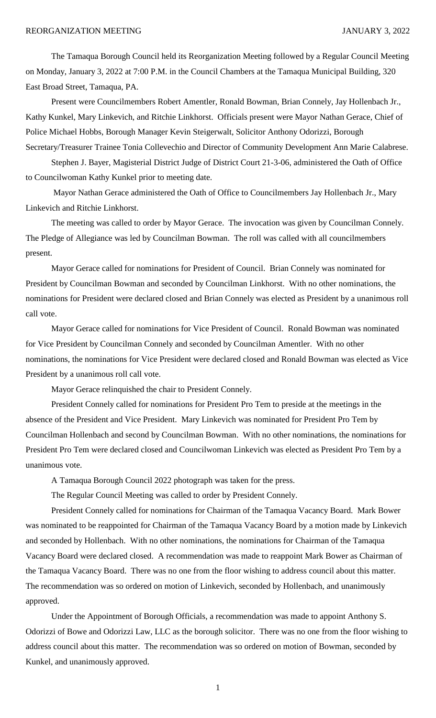The Tamaqua Borough Council held its Reorganization Meeting followed by a Regular Council Meeting on Monday, January 3, 2022 at 7:00 P.M. in the Council Chambers at the Tamaqua Municipal Building, 320 East Broad Street, Tamaqua, PA.

Present were Councilmembers Robert Amentler, Ronald Bowman, Brian Connely, Jay Hollenbach Jr., Kathy Kunkel, Mary Linkevich, and Ritchie Linkhorst. Officials present were Mayor Nathan Gerace, Chief of Police Michael Hobbs, Borough Manager Kevin Steigerwalt, Solicitor Anthony Odorizzi, Borough Secretary/Treasurer Trainee Tonia Collevechio and Director of Community Development Ann Marie Calabrese.

Stephen J. Bayer, Magisterial District Judge of District Court 21-3-06, administered the Oath of Office to Councilwoman Kathy Kunkel prior to meeting date.

Mayor Nathan Gerace administered the Oath of Office to Councilmembers Jay Hollenbach Jr., Mary Linkevich and Ritchie Linkhorst.

The meeting was called to order by Mayor Gerace. The invocation was given by Councilman Connely. The Pledge of Allegiance was led by Councilman Bowman. The roll was called with all councilmembers present.

Mayor Gerace called for nominations for President of Council. Brian Connely was nominated for President by Councilman Bowman and seconded by Councilman Linkhorst. With no other nominations, the nominations for President were declared closed and Brian Connely was elected as President by a unanimous roll call vote.

Mayor Gerace called for nominations for Vice President of Council. Ronald Bowman was nominated for Vice President by Councilman Connely and seconded by Councilman Amentler. With no other nominations, the nominations for Vice President were declared closed and Ronald Bowman was elected as Vice President by a unanimous roll call vote.

Mayor Gerace relinquished the chair to President Connely.

President Connely called for nominations for President Pro Tem to preside at the meetings in the absence of the President and Vice President. Mary Linkevich was nominated for President Pro Tem by Councilman Hollenbach and second by Councilman Bowman. With no other nominations, the nominations for President Pro Tem were declared closed and Councilwoman Linkevich was elected as President Pro Tem by a unanimous vote.

A Tamaqua Borough Council 2022 photograph was taken for the press.

The Regular Council Meeting was called to order by President Connely.

President Connely called for nominations for Chairman of the Tamaqua Vacancy Board. Mark Bower was nominated to be reappointed for Chairman of the Tamaqua Vacancy Board by a motion made by Linkevich and seconded by Hollenbach. With no other nominations, the nominations for Chairman of the Tamaqua Vacancy Board were declared closed. A recommendation was made to reappoint Mark Bower as Chairman of the Tamaqua Vacancy Board. There was no one from the floor wishing to address council about this matter. The recommendation was so ordered on motion of Linkevich, seconded by Hollenbach, and unanimously approved.

Under the Appointment of Borough Officials, a recommendation was made to appoint Anthony S. Odorizzi of Bowe and Odorizzi Law, LLC as the borough solicitor. There was no one from the floor wishing to address council about this matter. The recommendation was so ordered on motion of Bowman, seconded by Kunkel, and unanimously approved.

1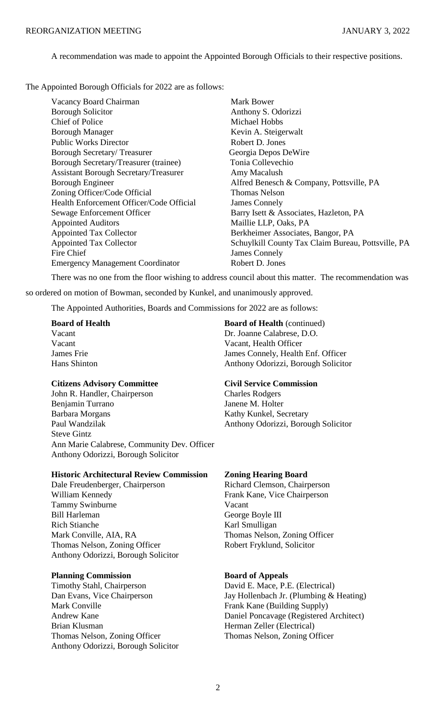A recommendation was made to appoint the Appointed Borough Officials to their respective positions.

The Appointed Borough Officials for 2022 are as follows:

| Vacancy Board Chairman                       | Mark Bower                                         |
|----------------------------------------------|----------------------------------------------------|
| <b>Borough Solicitor</b>                     | Anthony S. Odorizzi                                |
| <b>Chief of Police</b>                       | Michael Hobbs                                      |
| <b>Borough Manager</b>                       | Kevin A. Steigerwalt                               |
| <b>Public Works Director</b>                 | Robert D. Jones                                    |
| <b>Borough Secretary/Treasurer</b>           | Georgia Depos DeWire                               |
| Borough Secretary/Treasurer (trainee)        | Tonia Collevechio                                  |
| <b>Assistant Borough Secretary/Treasurer</b> | Amy Macalush                                       |
| <b>Borough Engineer</b>                      | Alfred Benesch & Company, Pottsville, PA           |
| Zoning Officer/Code Official                 | <b>Thomas Nelson</b>                               |
| Health Enforcement Officer/Code Official     | <b>James Connely</b>                               |
| Sewage Enforcement Officer                   | Barry Isett & Associates, Hazleton, PA             |
| <b>Appointed Auditors</b>                    | Maillie LLP, Oaks, PA                              |
| Appointed Tax Collector                      | Berkheimer Associates, Bangor, PA                  |
| <b>Appointed Tax Collector</b>               | Schuylkill County Tax Claim Bureau, Pottsville, PA |
| Fire Chief                                   | James Connely                                      |
| <b>Emergency Management Coordinator</b>      | Robert D. Jones                                    |
|                                              |                                                    |

There was no one from the floor wishing to address council about this matter. The recommendation was

so ordered on motion of Bowman, seconded by Kunkel, and unanimously approved.

The Appointed Authorities, Boards and Commissions for 2022 are as follows:

## **Citizens Advisory Committee Civil Service Commission**

John R. Handler, Chairperson Charles Rodgers Benjamin Turrano Janene M. Holter Barbara Morgans Kathy Kunkel, Secretary Paul Wandzilak Anthony Odorizzi, Borough Solicitor Steve Gintz Ann Marie Calabrese, Community Dev. Officer Anthony Odorizzi, Borough Solicitor

# **Historic Architectural Review Commission Zoning Hearing Board**

Dale Freudenberger, Chairperson Richard Clemson, Chairperson William Kennedy Frank Kane, Vice Chairperson Tammy Swinburne Vacant Bill Harleman George Boyle III Rich Stianche Karl Smulligan Mark Conville, AIA, RA Thomas Nelson, Zoning Officer Thomas Nelson, Zoning Officer Robert Fryklund, Solicitor Anthony Odorizzi, Borough Solicitor

## **Planning Commission Board of Appeals**

Timothy Stahl, Chairperson David E. Mace, P.E. (Electrical) Mark Conville Frank Kane (Building Supply) Brian Klusman Herman Zeller (Electrical) Thomas Nelson, Zoning Officer Thomas Nelson, Zoning Officer Anthony Odorizzi, Borough Solicitor

**Board of Health Board of Health** (continued) Vacant Dr. Joanne Calabrese, D.O. Vacant Vacant, Health Officer James Frie James Connely, Health Enf. Officer Hans Shinton **Anthony Odorizzi**, Borough Solicitor

Dan Evans, Vice Chairperson Jay Hollenbach Jr. (Plumbing & Heating) Andrew Kane Daniel Poncavage (Registered Architect)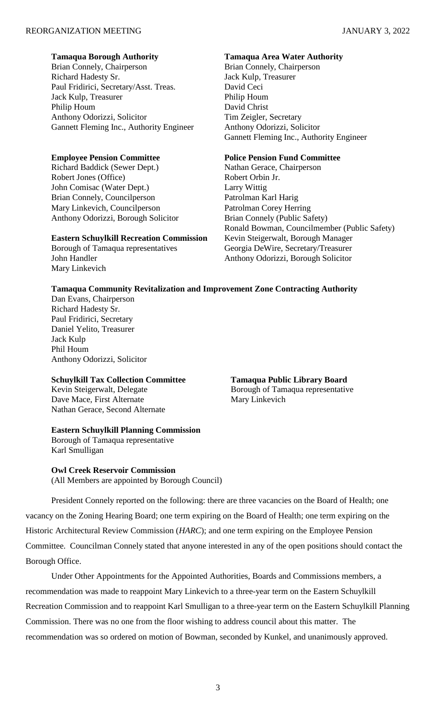## **Tamaqua Borough Authority Tamaqua Area Water Authority**

Brian Connely, Chairperson Brian Connely, Chairperson Richard Hadesty Sr. Jack Kulp, Treasurer Paul Fridirici, Secretary/Asst. Treas. David Ceci Jack Kulp, Treasurer Philip Houm Philip Houm David Christ Anthony Odorizzi, Solicitor Tim Zeigler, Secretary Gannett Fleming Inc., Authority Engineer Anthony Odorizzi, Solicitor

## **Employee Pension Committee Police Pension Fund Committee**

Richard Baddick (Sewer Dept.) Nathan Gerace, Chairperson Robert Jones (Office) Robert Orbin Jr. John Comisac (Water Dept.) Larry Wittig Brian Connely, Councilperson Patrolman Karl Harig Mary Linkevich, Councilperson Patrolman Corey Herring Anthony Odorizzi, Borough Solicitor Brian Connely (Public Safety)

# **Eastern Schuylkill Recreation Commission** Kevin Steigerwalt, Borough Manager

Mary Linkevich

Gannett Fleming Inc., Authority Engineer

Ronald Bowman, Councilmember (Public Safety) Borough of Tamaqua representatives Georgia DeWire, Secretary/Treasurer John Handler **Anthony Odorizzi, Borough Solicitor** Anthony Odorizzi, Borough Solicitor

# **Tamaqua Community Revitalization and Improvement Zone Contracting Authority**

Dan Evans, Chairperson Richard Hadesty Sr. Paul Fridirici, Secretary Daniel Yelito, Treasurer Jack Kulp Phil Houm Anthony Odorizzi, Solicitor

## **Schuylkill Tax Collection Committee Tamaqua Public Library Board**

Dave Mace, First Alternate Mary Linkevich Nathan Gerace, Second Alternate

## **Eastern Schuylkill Planning Commission**

Borough of Tamaqua representative Karl Smulligan

### **Owl Creek Reservoir Commission**

(All Members are appointed by Borough Council)

President Connely reported on the following: there are three vacancies on the Board of Health; one vacancy on the Zoning Hearing Board; one term expiring on the Board of Health; one term expiring on the Historic Architectural Review Commission (*HARC*); and one term expiring on the Employee Pension Committee. Councilman Connely stated that anyone interested in any of the open positions should contact the Borough Office.

Under Other Appointments for the Appointed Authorities, Boards and Commissions members, a recommendation was made to reappoint Mary Linkevich to a three-year term on the Eastern Schuylkill Recreation Commission and to reappoint Karl Smulligan to a three-year term on the Eastern Schuylkill Planning Commission. There was no one from the floor wishing to address council about this matter. The recommendation was so ordered on motion of Bowman, seconded by Kunkel, and unanimously approved.

Kevin Steigerwalt, Delegate Borough of Tamaqua representative